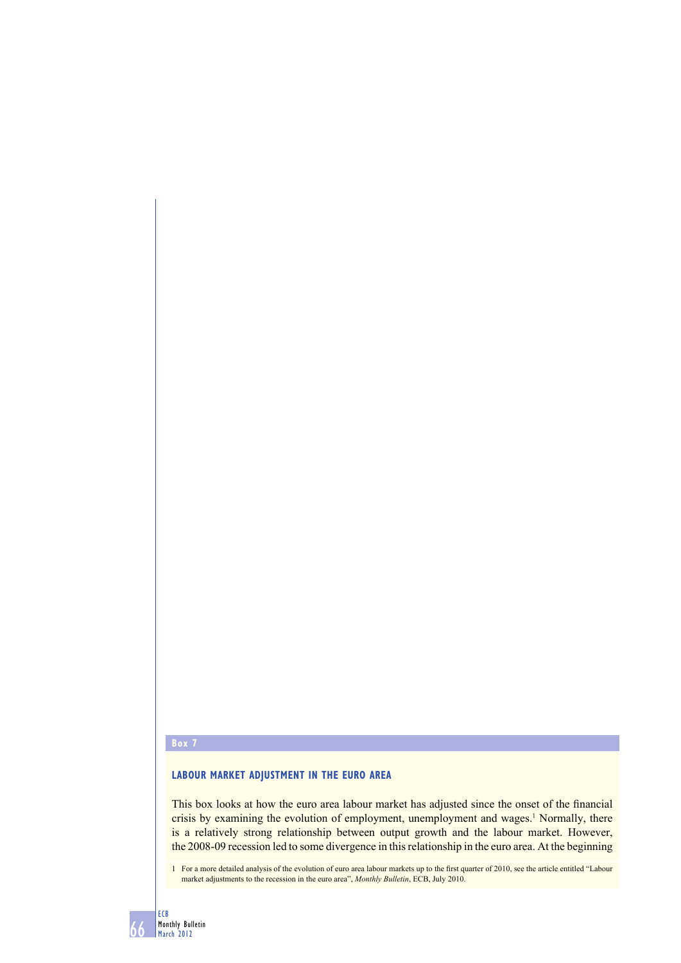# **Box 7**

# **LABOUR MARKET ADJUSTMENT IN THE EURO AREA**

This box looks at how the euro area labour market has adjusted since the onset of the financial crisis by examining the evolution of employment, unemployment and wages.<sup>1</sup> Normally, there is a relatively strong relationship between output growth and the labour market. However, the 2008-09 recession led to some divergence in this relationship in the euro area. At the beginning

1 For a more detailed analysis of the evolution of euro area labour markets up to the first quarter of 2010, see the article entitled "Labour market adjustments to the recession in the euro area", *Monthly Bulletin*, ECB, July 2010.

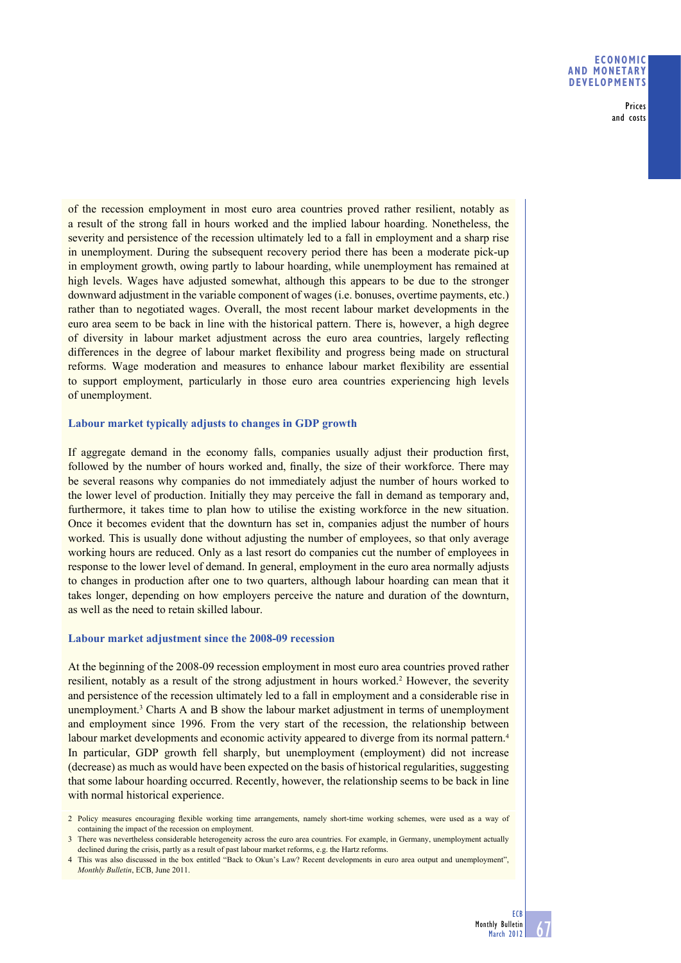### **ECONOMIC AND MONETARY DEVELOPMENTS**

Prices and costs

of the recession employment in most euro area countries proved rather resilient, notably as a result of the strong fall in hours worked and the implied labour hoarding. Nonetheless, the severity and persistence of the recession ultimately led to a fall in employment and a sharp rise in unemployment. During the subsequent recovery period there has been a moderate pick-up in employment growth, owing partly to labour hoarding, while unemployment has remained at high levels. Wages have adjusted somewhat, although this appears to be due to the stronger downward adjustment in the variable component of wages (i.e. bonuses, overtime payments, etc.) rather than to negotiated wages. Overall, the most recent labour market developments in the euro area seem to be back in line with the historical pattern. There is, however, a high degree of diversity in labour market adjustment across the euro area countries, largely reflecting differences in the degree of labour market flexibility and progress being made on structural reforms. Wage moderation and measures to enhance labour market flexibility are essential to support employment, particularly in those euro area countries experiencing high levels of unemployment.

## **Labour market typically adjusts to changes in GDP growth**

If aggregate demand in the economy falls, companies usually adjust their production first, followed by the number of hours worked and, finally, the size of their workforce. There may be several reasons why companies do not immediately adjust the number of hours worked to the lower level of production. Initially they may perceive the fall in demand as temporary and, furthermore, it takes time to plan how to utilise the existing workforce in the new situation. Once it becomes evident that the downturn has set in, companies adjust the number of hours worked. This is usually done without adjusting the number of employees, so that only average working hours are reduced. Only as a last resort do companies cut the number of employees in response to the lower level of demand. In general, employment in the euro area normally adjusts to changes in production after one to two quarters, although labour hoarding can mean that it takes longer, depending on how employers perceive the nature and duration of the downturn, as well as the need to retain skilled labour.

# **Labour market adjustment since the 2008-09 recession**

At the beginning of the 2008-09 recession employment in most euro area countries proved rather resilient, notably as a result of the strong adjustment in hours worked.<sup>2</sup> However, the severity and persistence of the recession ultimately led to a fall in employment and a considerable rise in unemployment.<sup>3</sup> Charts A and B show the labour market adjustment in terms of unemployment and employment since 1996. From the very start of the recession, the relationship between labour market developments and economic activity appeared to diverge from its normal pattern.<sup>4</sup> In particular, GDP growth fell sharply, but unemployment (employment) did not increase (decrease) as much as would have been expected on the basis of historical regularities, suggesting that some labour hoarding occurred. Recently, however, the relationship seems to be back in line with normal historical experience.

<sup>2</sup> Policy measures encouraging flexible working time arrangements, namely short-time working schemes, were used as a way of containing the impact of the recession on employment.

<sup>3</sup> There was nevertheless considerable heterogeneity across the euro area countries. For example, in Germany, unemployment actually declined during the crisis, partly as a result of past labour market reforms, e.g. the Hartz reforms.

<sup>4</sup> This was also discussed in the box entitled "Back to Okun's Law? Recent developments in euro area output and unemployment", *Monthly Bulletin*, ECB, June 2011.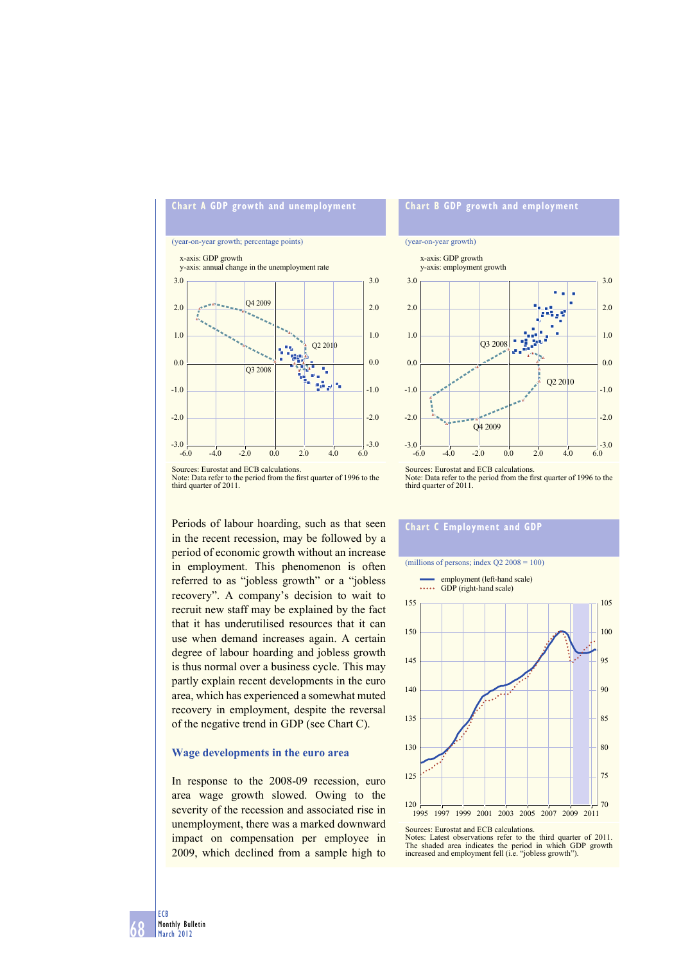# **Chart A GDP growth and unemployment**

#### (year-on-year growth; percentage points)



Sources: Eurostat and ECB calculations. Note: Data refer to the period from the first quarter of 1996 to the third quarter of 2011.

Periods of labour hoarding, such as that seen in the recent recession, may be followed by a period of economic growth without an increase in employment. This phenomenon is often referred to as "jobless growth" or a "jobless recovery". A company's decision to wait to recruit new staff may be explained by the fact that it has underutilised resources that it can use when demand increases again. A certain degree of labour hoarding and jobless growth is thus normal over a business cycle. This may partly explain recent developments in the euro area, which has experienced a somewhat muted recovery in employment, despite the reversal of the negative trend in GDP (see Chart C).

#### **Wage developments in the euro area**

In response to the 2008-09 recession, euro area wage growth slowed. Owing to the severity of the recession and associated rise in unemployment, there was a marked downward impact on compensation per employee in 2009, which declined from a sample high to

# **Chart B GDP growth and employment**

#### (year-on-year growth)



Note: Data refer to the period from the first quarter of 1996 to the third quarter of 2011.

### **Chart C Employment and GDP**

#### (millions of persons; index  $Q2\,2008 = 100$ )



Sources: Eurostat and ECB calculations.

Notes: Latest observations refer to the third quarter of 2011. The shaded area indicates the period in which GDP growth increased and employment fell (i.e. "jobless growth").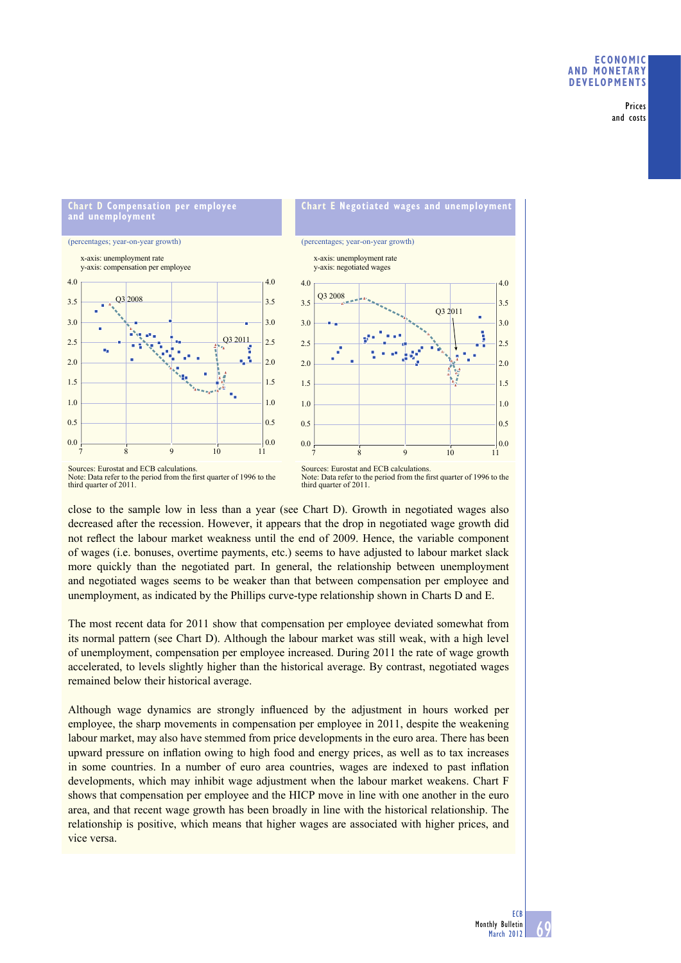## **ECONOMIC AND MONETARY DEVELOPMENTS**

Prices and costs

#### **Chart D Compensation per employee and unemployment**

(percentages; year-on-year growth)





Sources: Eurostat and ECB calculations. Note: Data refer to the period from the first quarter of 1996 to the third quarter of 2011.

Sources: Eurostat and ECB calculations. Note: Data refer to the period from the first quarter of 1996 to the third quarter of 2011.

close to the sample low in less than a year (see Chart D). Growth in negotiated wages also decreased after the recession. However, it appears that the drop in negotiated wage growth did not reflect the labour market weakness until the end of 2009. Hence, the variable component of wages (i.e. bonuses, overtime payments, etc.) seems to have adjusted to labour market slack more quickly than the negotiated part. In general, the relationship between unemployment and negotiated wages seems to be weaker than that between compensation per employee and unemployment, as indicated by the Phillips curve-type relationship shown in Charts D and E.

The most recent data for 2011 show that compensation per employee deviated somewhat from its normal pattern (see Chart D). Although the labour market was still weak, with a high level of unemployment, compensation per employee increased. During 2011 the rate of wage growth accelerated, to levels slightly higher than the historical average. By contrast, negotiated wages remained below their historical average.

Although wage dynamics are strongly influenced by the adjustment in hours worked per employee, the sharp movements in compensation per employee in 2011, despite the weakening labour market, may also have stemmed from price developments in the euro area. There has been upward pressure on inflation owing to high food and energy prices, as well as to tax increases in some countries. In a number of euro area countries, wages are indexed to past inflation developments, which may inhibit wage adjustment when the labour market weakens. Chart F shows that compensation per employee and the HICP move in line with one another in the euro area, and that recent wage growth has been broadly in line with the historical relationship. The relationship is positive, which means that higher wages are associated with higher prices, and vice versa.